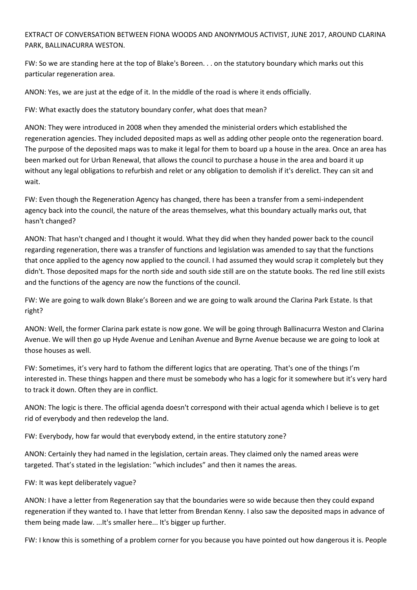EXTRACT OF CONVERSATION BETWEEN FIONA WOODS AND ANONYMOUS ACTIVIST, JUNE 2017, AROUND CLARINA PARK, BALLINACURRA WESTON.

FW: So we are standing here at the top of Blake's Boreen. . . on the statutory boundary which marks out this particular regeneration area.

ANON: Yes, we are just at the edge of it. In the middle of the road is where it ends officially.

FW: What exactly does the statutory boundary confer, what does that mean?

ANON: They were introduced in 2008 when they amended the ministerial orders which established the regeneration agencies. They included deposited maps as well as adding other people onto the regeneration board. The purpose of the deposited maps was to make it legal for them to board up a house in the area. Once an area has been marked out for Urban Renewal, that allows the council to purchase a house in the area and board it up without any legal obligations to refurbish and relet or any obligation to demolish if it's derelict. They can sit and wait.

FW: Even though the Regeneration Agency has changed, there has been a transfer from a semi-independent agency back into the council, the nature of the areas themselves, what this boundary actually marks out, that hasn't changed?

ANON: That hasn't changed and I thought it would. What they did when they handed power back to the council regarding regeneration, there was a transfer of functions and legislation was amended to say that the functions that once applied to the agency now applied to the council. I had assumed they would scrap it completely but they didn't. Those deposited maps for the north side and south side still are on the statute books. The red line still exists and the functions of the agency are now the functions of the council.

FW: We are going to walk down Blake's Boreen and we are going to walk around the Clarina Park Estate. Is that right?

ANON: Well, the former Clarina park estate is now gone. We will be going through Ballinacurra Weston and Clarina Avenue. We will then go up Hyde Avenue and Lenihan Avenue and Byrne Avenue because we are going to look at those houses as well.

FW: Sometimes, it's very hard to fathom the different logics that are operating. That's one of the things I'm interested in. These things happen and there must be somebody who has a logic for it somewhere but it's very hard to track it down. Often they are in conflict.

ANON: The logic is there. The official agenda doesn't correspond with their actual agenda which I believe is to get rid of everybody and then redevelop the land.

FW: Everybody, how far would that everybody extend, in the entire statutory zone?

ANON: Certainly they had named in the legislation, certain areas. They claimed only the named areas were targeted. That's stated in the legislation: "which includes" and then it names the areas.

FW: It was kept deliberately vague?

ANON: I have a letter from Regeneration say that the boundaries were so wide because then they could expand regeneration if they wanted to. I have that letter from Brendan Kenny. I also saw the deposited maps in advance of them being made law. ...It's smaller here... It's bigger up further.

FW: I know this is something of a problem corner for you because you have pointed out how dangerous it is. People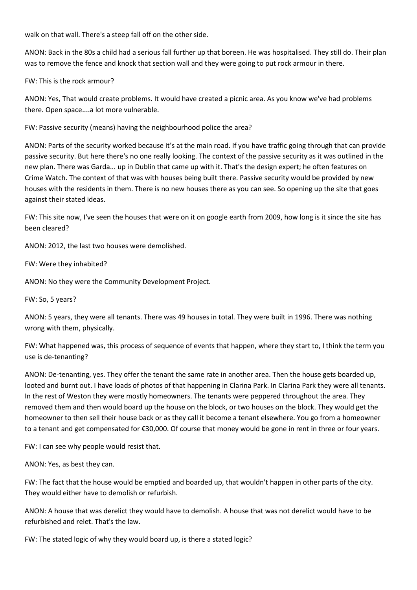walk on that wall. There's a steep fall off on the other side.

ANON: Back in the 80s a child had a serious fall further up that boreen. He was hospitalised. They still do. Their plan was to remove the fence and knock that section wall and they were going to put rock armour in there.

FW: This is the rock armour?

ANON: Yes, That would create problems. It would have created a picnic area. As you know we've had problems there. Open space....a lot more vulnerable.

FW: Passive security (means) having the neighbourhood police the area?

ANON: Parts of the security worked because it's at the main road. If you have traffic going through that can provide passive security. But here there's no one really looking. The context of the passive security as it was outlined in the new plan. There was Garda... up in Dublin that came up with it. That's the design expert; he often features on Crime Watch. The context of that was with houses being built there. Passive security would be provided by new houses with the residents in them. There is no new houses there as you can see. So opening up the site that goes against their stated ideas.

FW: This site now, I've seen the houses that were on it on google earth from 2009, how long is it since the site has been cleared?

ANON: 2012, the last two houses were demolished.

FW: Were they inhabited?

ANON: No they were the Community Development Project.

FW: So, 5 years?

ANON: 5 years, they were all tenants. There was 49 houses in total. They were built in 1996. There was nothing wrong with them, physically.

FW: What happened was, this process of sequence of events that happen, where they start to, I think the term you use is de-tenanting?

ANON: De-tenanting, yes. They offer the tenant the same rate in another area. Then the house gets boarded up, looted and burnt out. I have loads of photos of that happening in Clarina Park. In Clarina Park they were all tenants. In the rest of Weston they were mostly homeowners. The tenants were peppered throughout the area. They removed them and then would board up the house on the block, or two houses on the block. They would get the homeowner to then sell their house back or as they call it become a tenant elsewhere. You go from a homeowner to a tenant and get compensated for €30,000. Of course that money would be gone in rent in three or four years.

FW: I can see why people would resist that.

ANON: Yes, as best they can.

FW: The fact that the house would be emptied and boarded up, that wouldn't happen in other parts of the city. They would either have to demolish or refurbish.

ANON: A house that was derelict they would have to demolish. A house that was not derelict would have to be refurbished and relet. That's the law.

FW: The stated logic of why they would board up, is there a stated logic?